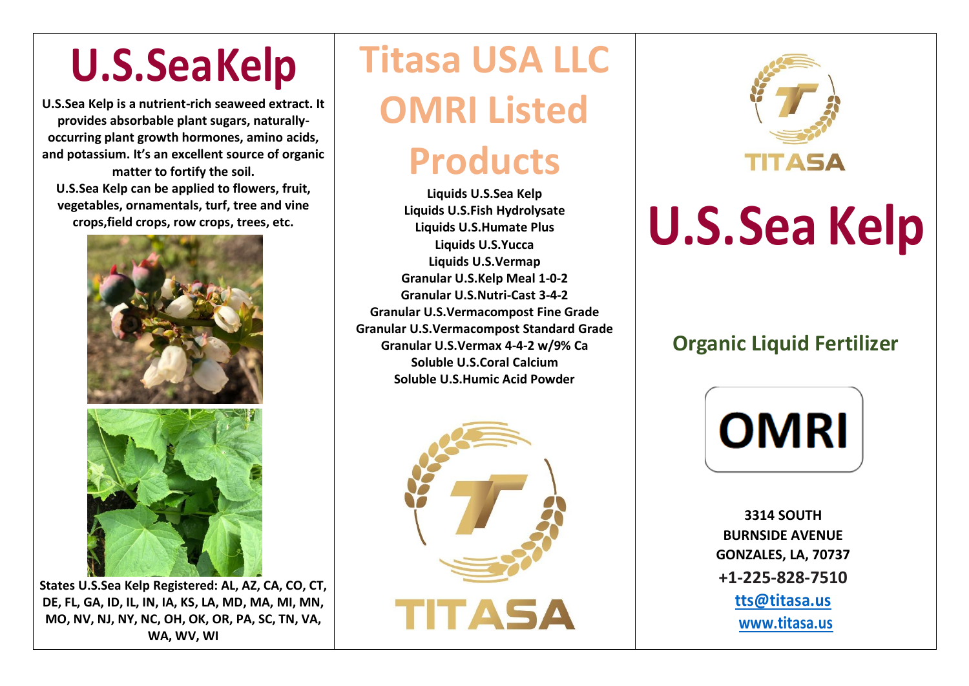## **U.S.Sea Kelp**

**U.S.Sea Kelp is a nutrient-rich seaweed extract. It provides absorbable plant sugars, naturallyoccurring plant growth hormones, amino acids, and potassium. It's an excellent source of organic matter to fortify the soil. U.S.Sea Kelp can be applied to flowers, fruit, vegetables, ornamentals, turf, tree and vine crops,field crops, row crops, trees, etc.**



**States U.S.Sea Kelp Registered: AL, AZ, CA, CO, CT, DE, FL, GA, ID, IL, IN, IA, KS, LA, MD, MA, MI, MN, MO, NV, NJ, NY, NC, OH, OK, OR, PA, SC, TN, VA, WA, WV, WI**

## **Titasa USA LLC OMRI Listed**

## **Products**

**Liquids U.S.Sea Kelp Liquids U.S.Fish Hydrolysate Liquids U.S.Humate Plus Liquids U.S.Yucca Liquids U.S.Vermap Granular U.S.Kelp Meal 1-0-2 Granular U.S.Nutri-Cast 3-4-2 Granular U.S.Vermacompost Fine Grade Granular U.S.Vermacompost Standard Grade Granular U.S.Vermax 4-4-2 w/9% Ca Soluble U.S.Coral Calcium Soluble U.S.Humic Acid Powder**





# **U.S.Sea Kelp**

#### **Organic Liquid Fertilizer**



**3314 SOUTH BURNSIDE AVENUE GONZALES, LA, 70737 +1-225-828-7510 [tts@titasa.us](mailto:tts@titasa.us) [www.titasa.us](http://www.titasa.us/)**